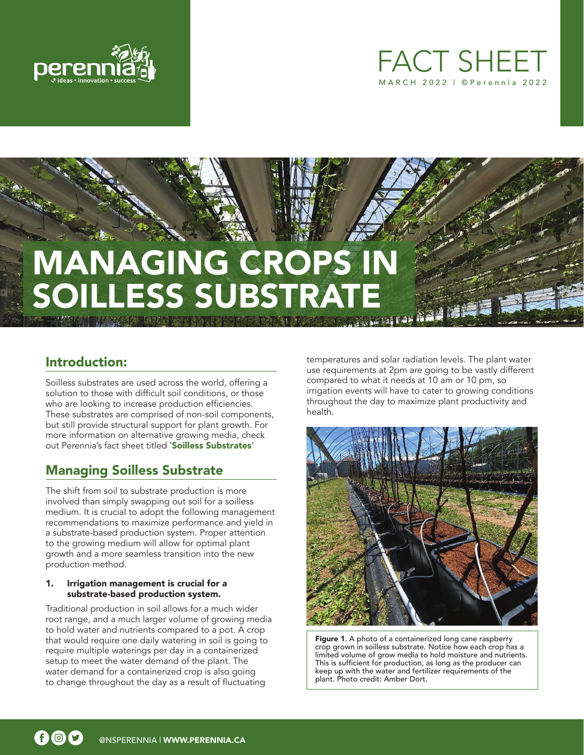



# **MANAGING CROPS ESS SUBSTRA**

# Introduction:

Soilless substrates are used across the world, offering a solution to those with difficult soil conditions, or those who are looking to increase production efficiencies. These substrates are comprised of non-soil components, but still provide structural support for plant growth. For more information on alternative growing media, check out Perennia's fact sheet titled '[Soilless Substrates](https://www.perennia.ca/wp-content/uploads/2018/03/Fact-Sheet-Soilless-Substrates.pdf)'

# Managing Soilless Substrate

The shift from soil to substrate production is more involved than simply swapping out soil for a soilless medium. It is crucial to adopt the following management recommendations to maximize performance and yield in a substrate-based production system. Proper attention to the growing medium will allow for optimal plant growth and a more seamless transition into the new production method.

### 1. Irrigation management is crucial for a substrate-based production system.

Traditional production in soil allows for a much wider root range, and a much larger volume of growing media to hold water and nutrients compared to a pot. A crop that would require one daily watering in soil is going to require multiple waterings per day in a containerized setup to meet the water demand of the plant. The water demand for a containerized crop is also going to change throughout the day as a result of fluctuating

temperatures and solar radiation levels. The plant water use requirements at 2pm are going to be vastly different compared to what it needs at 10 am or 10 pm, so irrigation events will have to cater to growing conditions throughout the day to maximize plant productivity and health.



Figure 1. A photo of a containerized long cane raspberry crop grown in soilless substrate. Notice how each crop has a limited volume of grow media to hold moisture and nutrients. This is sufficient for production, as long as the producer can keep up with the water and fertilizer requirements of the plant. Photo credit: Amber Dort.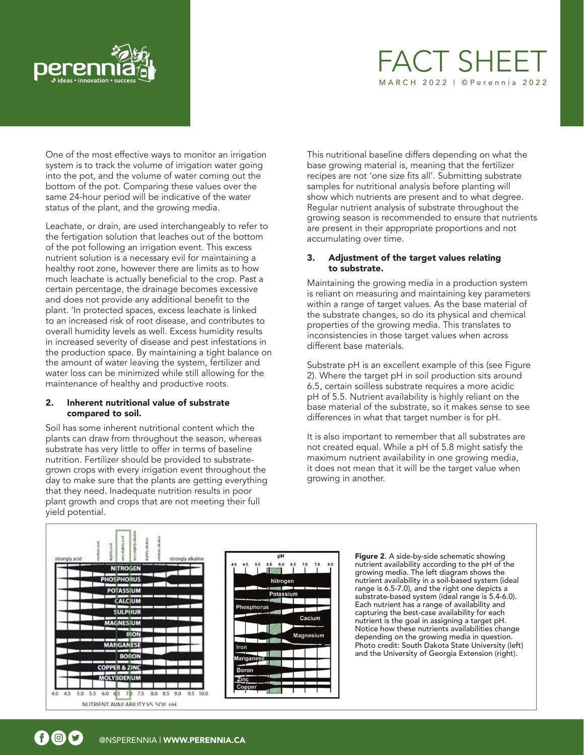

# FACT SHEI MARCH 2022 | ©Perennia 2022

One of the most effective ways to monitor an irrigation system is to track the volume of irrigation water going into the pot, and the volume of water coming out the bottom of the pot. Comparing these values over the same 24-hour period will be indicative of the water status of the plant, and the growing media.

Leachate, or drain, are used interchangeably to refer to the fertigation solution that leaches out of the bottom of the pot following an irrigation event. This excess nutrient solution is a necessary evil for maintaining a healthy root zone, however there are limits as to how much leachate is actually beneficial to the crop. Past a certain percentage, the drainage becomes excessive and does not provide any additional benefit to the plant. 'In protected spaces, excess leachate is linked to an increased risk of root disease, and contributes to overall humidity levels as well. Excess humidity results in increased severity of disease and pest infestations in the production space. By maintaining a tight balance on the amount of water leaving the system, fertilizer and water loss can be minimized while still allowing for the maintenance of healthy and productive roots.

#### 2. Inherent nutritional value of substrate compared to soil.

Soil has some inherent nutritional content which the plants can draw from throughout the season, whereas substrate has very little to offer in terms of baseline nutrition. Fertilizer should be provided to substrategrown crops with every irrigation event throughout the day to make sure that the plants are getting everything that they need. Inadequate nutrition results in poor plant growth and crops that are not meeting their full yield potential.

This nutritional baseline differs depending on what the base growing material is, meaning that the fertilizer recipes are not 'one size fits all'. Submitting substrate samples for nutritional analysis before planting will show which nutrients are present and to what degree. Regular nutrient analysis of substrate throughout the growing season is recommended to ensure that nutrients are present in their appropriate proportions and not accumulating over time.

## 3. Adjustment of the target values relating to substrate.

Maintaining the growing media in a production system is reliant on measuring and maintaining key parameters within a range of target values. As the base material of the substrate changes, so do its physical and chemical properties of the growing media. This translates to inconsistencies in those target values when across different base materials.

Substrate pH is an excellent example of this (see Figure 2). Where the target pH in soil production sits around 6.5, certain soilless substrate requires a more acidic pH of 5.5. Nutrient availability is highly reliant on the base material of the substrate, so it makes sense to see differences in what that target number is for pH.

It is also important to remember that all substrates are not created equal. While a pH of 5.8 might satisfy the maximum nutrient availability in one growing media, it does not mean that it will be the target value when growing in another.





Figure 2. A side-by-side schematic showing nutrient availability according to the pH of the growing media. The left diagram shows the nutrient availability in a soil-based system (ideal range is 6.5-7.0), and the right one depicts a substrate-based system (ideal range is 5.4-6.0). Each nutrient has a range of availability and capturing the best-case availability for each nutrient is the goal in assigning a target pH. Notice how these nutrients availabilities change depending on the growing media in question. Photo credit: South Dakota State University (left) and the University of Georgia Extension (right).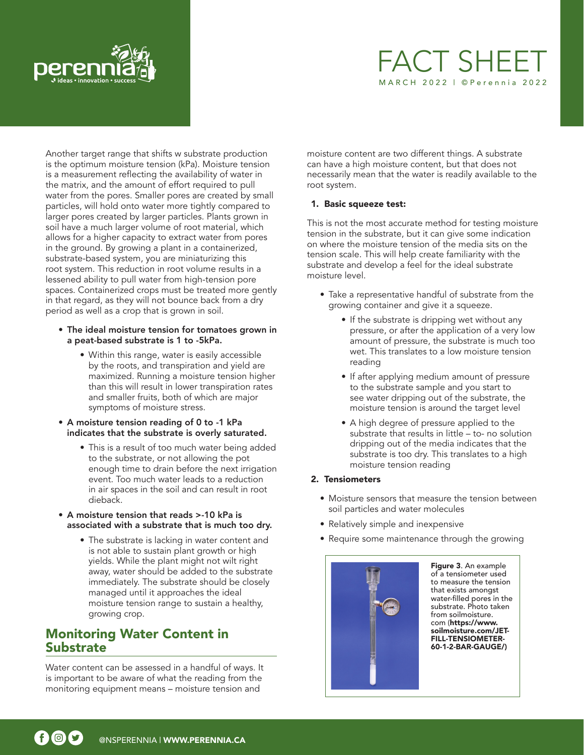

# **FACT SHEE** MARCH 2022 | ©Perennia 2022

Another target range that shifts w substrate production is the optimum moisture tension (kPa). Moisture tension is a measurement reflecting the availability of water in the matrix, and the amount of effort required to pull water from the pores. Smaller pores are created by small particles, will hold onto water more tightly compared to larger pores created by larger particles. Plants grown in soil have a much larger volume of root material, which allows for a higher capacity to extract water from pores in the ground. By growing a plant in a containerized, substrate-based system, you are miniaturizing this root system. This reduction in root volume results in a lessened ability to pull water from high-tension pore spaces. Containerized crops must be treated more gently in that regard, as they will not bounce back from a dry period as well as a crop that is grown in soil.

- The ideal moisture tension for tomatoes grown in a peat-based substrate is 1 to -5kPa.
	- Within this range, water is easily accessible by the roots, and transpiration and yield are maximized. Running a moisture tension higher than this will result in lower transpiration rates and smaller fruits, both of which are major symptoms of moisture stress.
- A moisture tension reading of 0 to -1 kPa indicates that the substrate is overly saturated.
	- This is a result of too much water being added to the substrate, or not allowing the pot enough time to drain before the next irrigation event. Too much water leads to a reduction in air spaces in the soil and can result in root dieback.
- A moisture tension that reads >-10 kPa is associated with a substrate that is much too dry.
	- The substrate is lacking in water content and is not able to sustain plant growth or high yields. While the plant might not wilt right away, water should be added to the substrate immediately. The substrate should be closely managed until it approaches the ideal moisture tension range to sustain a healthy, growing crop.

# Monitoring Water Content in **Substrate**

Water content can be assessed in a handful of ways. It is important to be aware of what the reading from the monitoring equipment means – moisture tension and

moisture content are two different things. A substrate can have a high moisture content, but that does not necessarily mean that the water is readily available to the root system.

## 1. Basic squeeze test:

This is not the most accurate method for testing moisture tension in the substrate, but it can give some indication on where the moisture tension of the media sits on the tension scale. This will help create familiarity with the substrate and develop a feel for the ideal substrate moisture level.

- Take a representative handful of substrate from the growing container and give it a squeeze.
	- If the substrate is dripping wet without any pressure, or after the application of a very low amount of pressure, the substrate is much too wet. This translates to a low moisture tension reading
	- If after applying medium amount of pressure to the substrate sample and you start to see water dripping out of the substrate, the moisture tension is around the target level
	- A high degree of pressure applied to the substrate that results in little – to- no solution dripping out of the media indicates that the substrate is too dry. This translates to a high moisture tension reading

## 2. Tensiometers

- Moisture sensors that measure the tension between soil particles and water molecules
- Relatively simple and inexpensive
- Require some maintenance through the growing